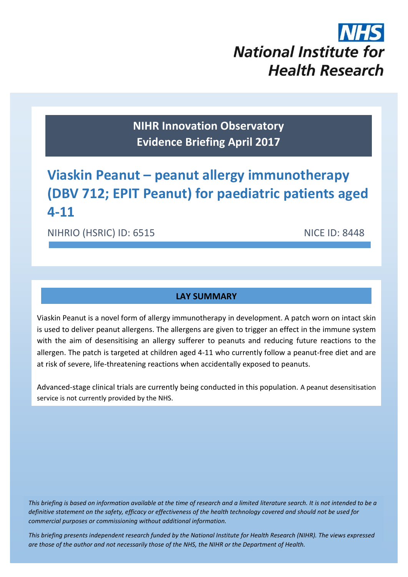

**NIHR Innovation Observatory Evidence Briefing April 2017**

# **Viaskin Peanut – peanut allergy immunotherapy (DBV 712; EPIT Peanut) for paediatric patients aged 4-11**

NIHRIO (HSRIC) ID: 6515 NICE ID: 8448

# **LAY SUMMARY**

Viaskin Peanut is a novel form of allergy immunotherapy in development. A patch worn on intact skin is used to deliver peanut allergens. The allergens are given to trigger an effect in the immune system with the aim of desensitising an allergy sufferer to peanuts and reducing future reactions to the allergen. The patch is targeted at children aged 4-11 who currently follow a peanut-free diet and are at risk of severe, life-threatening reactions when accidentally exposed to peanuts.

Advanced-stage clinical trials are currently being conducted in this population. A peanut desensitisation service is not currently provided by the NHS.

*This briefing is based on information available at the time of research and a limited literature search. It is not intended to be a definitive statement on the safety, efficacy or effectiveness of the health technology covered and should not be used for commercial purposes or commissioning without additional information.*

1 *This briefing presents independent research funded by the National Institute for Health Research (NIHR). The views expressed are those of the author and not necessarily those of the NHS, the NIHR or the Department of Health.*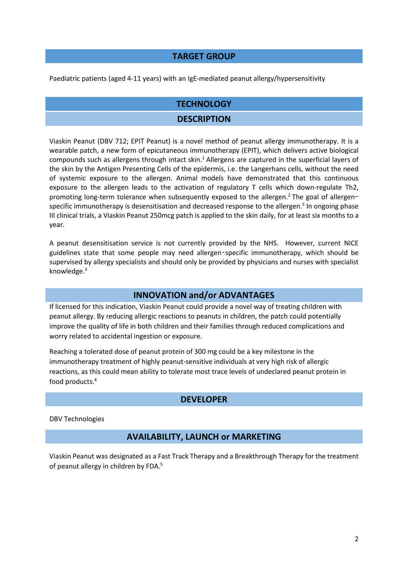## **TARGET GROUP**

#### Paediatric patients (aged 4-11 years) with an IgE-mediated peanut allergy/hypersensitivity

## **TECHNOLOGY**

### <span id="page-1-0"></span>**DESCRIPTION**

Viaskin Peanut (DBV 712; EPIT Peanut) is a novel method of peanut allergy immunotherapy. It is a wearable patch, a new form of epicutaneous immunotherapy (EPIT), which delivers active biological compounds such as allergens through intact skin. <sup>1</sup> Allergens are captured in the superficial layers of the skin by the Antigen Presenting Cells of the epidermis, i.e. the Langerhans cells, without the need of systemic exposure to the allergen. Animal models have demonstrated that this continuous exposure to the allergen leads to the activation of regulatory T cells which down-regulate Th2, promoting long-term tolerance when subsequently exposed to the allergen.<sup>2</sup> The goal of allergenspecific immunotherapy is desensitisation and decreased response to the allergen.<sup>3</sup> In ongoing phase III clinical trials, a Viaskin Peanut 250mcg patch is applied to the skin daily, for at least six months to a year.

A peanut desensitisation service is not currently provided by the NHS. However, current NICE guidelines state that some people may need allergen‑specific immunotherapy, which should be supervised by allergy specialists and should only be provided by physicians and nurses with specialist knowledge[.](#page-1-0) 3

## **INNOVATION and/or ADVANTAGES**

If licensed for this indication, Viaskin Peanut could provide a novel way of treating children with peanut allergy. By reducing allergic reactions to peanuts in children, the patch could potentially improve the quality of life in both children and their families through reduced complications and worry related to accidental ingestion or exposure.

Reaching a tolerated dose of peanut protein of 300 mg could be a key milestone in the immunotherapy treatment of highly peanut-sensitive individuals at very high risk of allergic reactions, as this could mean ability to tolerate most trace levels of undeclared peanut protein in food products. 4

## **DEVELOPER**

DBV Technologies

## **AVAILABILITY, LAUNCH or MARKETING**

Viaskin Peanut was designated as a Fast Track Therapy and a Breakthrough Therapy for the treatment of peanut allergy in children by FDA.<sup>5</sup>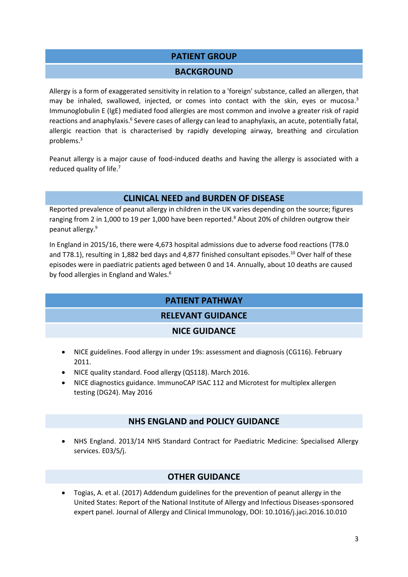## **PATIENT GROUP**

#### <span id="page-2-1"></span><span id="page-2-0"></span>**BACKGROUND**

Allergy is a form of exaggerated sensitivity in relation to a 'foreign' substance, called an allergen, that may be inhaled, swallowed, injected, or comes into contact with the skin, eyes or mucosa.<sup>[3](#page-1-0)</sup> Immunoglobulin E (IgE) mediated food allergies are most common and involve a greater risk of rapid reactions and anaphylaxis.<sup>6</sup> Severe cases of allergy can lead to anaphylaxis, an acute, potentially fatal, allergic reaction that is characterised by rapidly developing airway, breathing and circulation problems. [3](#page-1-0)

Peanut allergy is a major cause of food-induced deaths and having the allergy is associated with a reduced quality of life.<sup>7</sup>

## <span id="page-2-2"></span>**CLINICAL NEED and BURDEN OF DISEASE**

Reported prevalence of peanut allergy in children in the UK varies depending on the source; figures ranging from 2 in 1,000 to 19 per 1,000 have been reported. <sup>8</sup> About 20% of children outgrow their peanut allergy. 9

In England in 2015/16, there were 4,673 hospital admissions due to adverse food reactions (T78.0 and T78.1), resulting in 1,882 bed days and 4,877 finished consultant episodes.<sup>10</sup> Over half of these episodes were in paediatric patients aged between 0 and 14. Annually, about 10 deaths are caused by food allergies in England and Wales[.](#page-2-0)<sup>6</sup>

# **PATIENT PATHWAY**

# **RELEVANT GUIDANCE**

## **NICE GUIDANCE**

- NICE guidelines. Food allergy in under 19s: assessment and diagnosis (CG116). February 2011.
- NICE quality standard. Food allergy (QS118). March 2016.
- NICE diagnostics guidance. ImmunoCAP ISAC 112 and Microtest for multiplex allergen testing (DG24). May 2016

## **NHS ENGLAND and POLICY GUIDANCE**

 NHS England. 2013/14 NHS Standard Contract for Paediatric Medicine: Specialised Allergy services. E03/S/j.

# **OTHER GUIDANCE**

 Togias, A. et al. (2017) Addendum guidelines for the prevention of peanut allergy in the United States: Report of the National Institute of Allergy and Infectious Diseases-sponsored expert panel. Journal of Allergy and Clinical Immunology, DOI: 10.1016/j.jaci.2016.10.010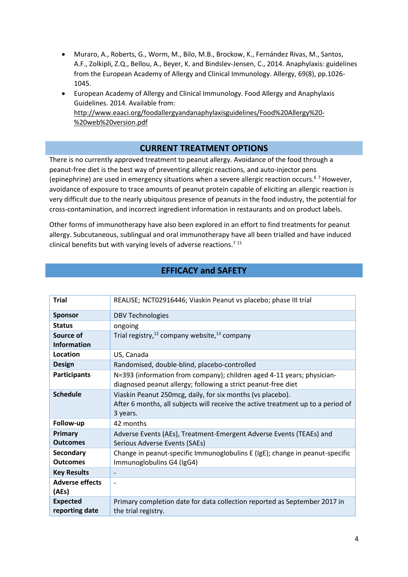- Muraro, A., Roberts, G., Worm, M., Bilo, M.B., Brockow, K., Fernández Rivas, M., Santos, A.F., Zolkipli, Z.Q., Bellou, A., Beyer, K. and Bindslev‐Jensen, C., 2014. Anaphylaxis: guidelines from the European Academy of Allergy and Clinical Immunology. Allergy, 69(8), pp.1026- 1045.
- European Academy of Allergy and Clinical Immunology. Food Allergy and Anaphylaxis Guidelines. 2014. Available from: [http://www.eaaci.org/foodallergyandanaphylaxisguidelines/Food%20Allergy%20-](http://www.eaaci.org/foodallergyandanaphylaxisguidelines/Food%20Allergy%20-%20web%20version.pdf) [%20web%20version.pdf](http://www.eaaci.org/foodallergyandanaphylaxisguidelines/Food%20Allergy%20-%20web%20version.pdf)

## **CURRENT TREATMENT OPTIONS**

There is no currently approved treatment to peanut allergy. Avoidance of the food through a peanut-free diet is the best way of preventing allergic reactions, and auto-injector pens (epinephrine) are used in emergency situations when a severe allergic reaction occurs[.](#page-2-1) <sup>6</sup> [7](#page-2-2) However, avoidance of exposure to trace amounts of peanut protein capable of eliciting an allergic reaction is very difficult due to the nearly ubiquitous presence of peanuts in the food industry, the potential for cross-contamination, and incorrect ingredient information in restaurants and on product labels.

Other forms of immunotherapy have also been explored in an effort to find treatments for peanut allergy. Subcutaneous, sublingual and oral immunotherapy have all been trialled and have induced clinical benefits but with varying levels of adverse reactions.<sup>[7](#page-2-2)11</sup>

| <b>Trial</b>                      | REALISE; NCT02916446; Viaskin Peanut vs placebo; phase III trial                                                                                            |  |  |
|-----------------------------------|-------------------------------------------------------------------------------------------------------------------------------------------------------------|--|--|
| <b>Sponsor</b>                    | <b>DBV Technologies</b>                                                                                                                                     |  |  |
| <b>Status</b>                     | ongoing                                                                                                                                                     |  |  |
| Source of<br><b>Information</b>   | Trial registry, <sup>12</sup> company website, <sup>13</sup> company                                                                                        |  |  |
| Location                          | US, Canada                                                                                                                                                  |  |  |
| <b>Design</b>                     | Randomised, double-blind, placebo-controlled                                                                                                                |  |  |
| <b>Participants</b>               | N=393 (information from company); children aged 4-11 years; physician-<br>diagnosed peanut allergy; following a strict peanut-free diet                     |  |  |
| <b>Schedule</b>                   | Viaskin Peanut 250 mcg, daily, for six months (vs placebo).<br>After 6 months, all subjects will receive the active treatment up to a period of<br>3 years. |  |  |
| Follow-up                         | 42 months                                                                                                                                                   |  |  |
| Primary<br><b>Outcomes</b>        | Adverse Events (AEs), Treatment-Emergent Adverse Events (TEAEs) and<br>Serious Adverse Events (SAEs)                                                        |  |  |
| Secondary<br><b>Outcomes</b>      | Change in peanut-specific Immunoglobulins E (IgE); change in peanut-specific<br>Immunoglobulins G4 (IgG4)                                                   |  |  |
| <b>Key Results</b>                | $\overline{\phantom{a}}$                                                                                                                                    |  |  |
| <b>Adverse effects</b><br>(AEs)   | $\overline{\phantom{a}}$                                                                                                                                    |  |  |
| <b>Expected</b><br>reporting date | Primary completion date for data collection reported as September 2017 in<br>the trial registry.                                                            |  |  |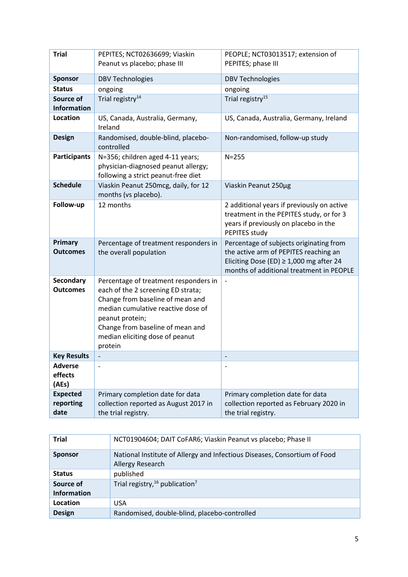| <b>Trial</b>                         | PEPITES; NCT02636699; Viaskin<br>Peanut vs placebo; phase III                                                                                                                                                                                              | PEOPLE; NCT03013517; extension of<br>PEPITES; phase III                                                                                                                      |
|--------------------------------------|------------------------------------------------------------------------------------------------------------------------------------------------------------------------------------------------------------------------------------------------------------|------------------------------------------------------------------------------------------------------------------------------------------------------------------------------|
|                                      |                                                                                                                                                                                                                                                            |                                                                                                                                                                              |
| <b>Sponsor</b>                       | <b>DBV Technologies</b>                                                                                                                                                                                                                                    | <b>DBV Technologies</b>                                                                                                                                                      |
| <b>Status</b>                        | ongoing                                                                                                                                                                                                                                                    | ongoing                                                                                                                                                                      |
| Source of<br><b>Information</b>      | Trial registry <sup>14</sup>                                                                                                                                                                                                                               | Trial registry <sup>15</sup>                                                                                                                                                 |
| <b>Location</b>                      | US, Canada, Australia, Germany,<br>Ireland                                                                                                                                                                                                                 | US, Canada, Australia, Germany, Ireland                                                                                                                                      |
| <b>Design</b>                        | Randomised, double-blind, placebo-<br>controlled                                                                                                                                                                                                           | Non-randomised, follow-up study                                                                                                                                              |
| <b>Participants</b>                  | N=356; children aged 4-11 years;<br>physician-diagnosed peanut allergy;<br>following a strict peanut-free diet                                                                                                                                             | $N = 255$                                                                                                                                                                    |
| <b>Schedule</b>                      | Viaskin Peanut 250mcg, daily, for 12<br>months (vs placebo).                                                                                                                                                                                               | Viaskin Peanut 250µg                                                                                                                                                         |
| Follow-up                            | 12 months                                                                                                                                                                                                                                                  | 2 additional years if previously on active<br>treatment in the PEPITES study, or for 3<br>years if previously on placebo in the<br>PEPITES study                             |
| Primary<br><b>Outcomes</b>           | Percentage of treatment responders in<br>the overall population                                                                                                                                                                                            | Percentage of subjects originating from<br>the active arm of PEPITES reaching an<br>Eliciting Dose (ED) $\geq$ 1,000 mg after 24<br>months of additional treatment in PEOPLE |
| <b>Secondary</b><br><b>Outcomes</b>  | Percentage of treatment responders in<br>each of the 2 screening ED strata;<br>Change from baseline of mean and<br>median cumulative reactive dose of<br>peanut protein;<br>Change from baseline of mean and<br>median eliciting dose of peanut<br>protein |                                                                                                                                                                              |
| <b>Key Results</b>                   |                                                                                                                                                                                                                                                            |                                                                                                                                                                              |
| <b>Adverse</b><br>effects<br>(AEs)   | $\overline{a}$                                                                                                                                                                                                                                             | $\overline{\phantom{a}}$                                                                                                                                                     |
| <b>Expected</b><br>reporting<br>date | Primary completion date for data<br>collection reported as August 2017 in<br>the trial registry.                                                                                                                                                           | Primary completion date for data<br>collection reported as February 2020 in<br>the trial registry.                                                                           |

| <b>Trial</b>                    | NCT01904604; DAIT CoFAR6; Viaskin Peanut vs placebo; Phase II                                 |  |
|---------------------------------|-----------------------------------------------------------------------------------------------|--|
| <b>Sponsor</b>                  | National Institute of Allergy and Infectious Diseases, Consortium of Food<br>Allergy Research |  |
| <b>Status</b>                   | published                                                                                     |  |
| Source of<br><b>Information</b> | Trial registry, $16$ publication <sup>7</sup>                                                 |  |
| Location                        | <b>USA</b>                                                                                    |  |
| <b>Design</b>                   | Randomised, double-blind, placebo-controlled                                                  |  |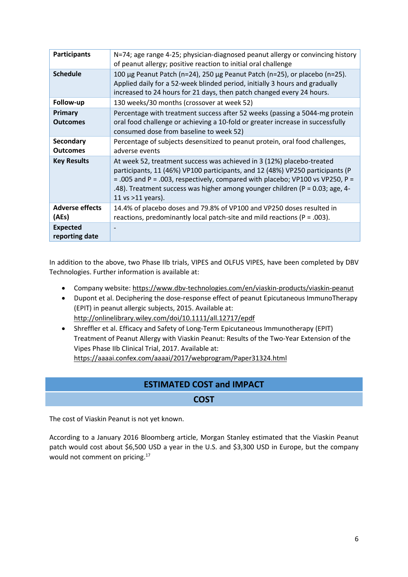| <b>Participants</b>                 | N=74; age range 4-25; physician-diagnosed peanut allergy or convincing history<br>of peanut allergy; positive reaction to initial oral challenge                                                                                                                                                                                               |  |
|-------------------------------------|------------------------------------------------------------------------------------------------------------------------------------------------------------------------------------------------------------------------------------------------------------------------------------------------------------------------------------------------|--|
| <b>Schedule</b>                     | 100 μg Peanut Patch (n=24), 250 μg Peanut Patch (n=25), or placebo (n=25).<br>Applied daily for a 52-week blinded period, initially 3 hours and gradually<br>increased to 24 hours for 21 days, then patch changed every 24 hours.                                                                                                             |  |
| Follow-up                           | 130 weeks/30 months (crossover at week 52)                                                                                                                                                                                                                                                                                                     |  |
| Primary<br><b>Outcomes</b>          | Percentage with treatment success after 52 weeks (passing a 5044-mg protein<br>oral food challenge or achieving a 10-fold or greater increase in successfully<br>consumed dose from baseline to week 52)                                                                                                                                       |  |
| <b>Secondary</b><br><b>Outcomes</b> | Percentage of subjects desensitized to peanut protein, oral food challenges,<br>adverse events                                                                                                                                                                                                                                                 |  |
| <b>Key Results</b>                  | At week 52, treatment success was achieved in 3 (12%) placebo-treated<br>participants, 11 (46%) VP100 participants, and 12 (48%) VP250 participants (P<br>= .005 and P = .003, respectively, compared with placebo; VP100 vs VP250, P =<br>.48). Treatment success was higher among younger children (P = 0.03; age, 4-<br>11 vs $>11$ years). |  |
| <b>Adverse effects</b><br>(AEs)     | 14.4% of placebo doses and 79.8% of VP100 and VP250 doses resulted in<br>reactions, predominantly local patch-site and mild reactions ( $P = .003$ ).                                                                                                                                                                                          |  |
| <b>Expected</b><br>reporting date   |                                                                                                                                                                                                                                                                                                                                                |  |

In addition to the above, two Phase IIb trials, VIPES and OLFUS VIPES, have been completed by DBV Technologies. Further information is available at:

- Company website:<https://www.dbv-technologies.com/en/viaskin-products/viaskin-peanut>
- Dupont et al. Deciphering the dose-response effect of peanut Epicutaneous ImmunoTherapy (EPIT) in peanut allergic subjects, 2015. Available at: <http://onlinelibrary.wiley.com/doi/10.1111/all.12717/epdf>
- Shreffler et al. Efficacy and Safety of Long-Term Epicutaneous Immunotherapy (EPIT) Treatment of Peanut Allergy with Viaskin Peanut: Results of the Two-Year Extension of the Vipes Phase IIb Clinical Trial, 2017. Available at: <https://aaaai.confex.com/aaaai/2017/webprogram/Paper31324.html>

# **ESTIMATED COST and IMPACT**

**COST**

The cost of Viaskin Peanut is not yet known.

According to a January 2016 Bloomberg article, Morgan Stanley estimated that the Viaskin Peanut patch would cost about \$6,500 USD a year in the U.S. and \$3,300 USD in Europe, but the company would not comment on pricing.<sup>17</sup>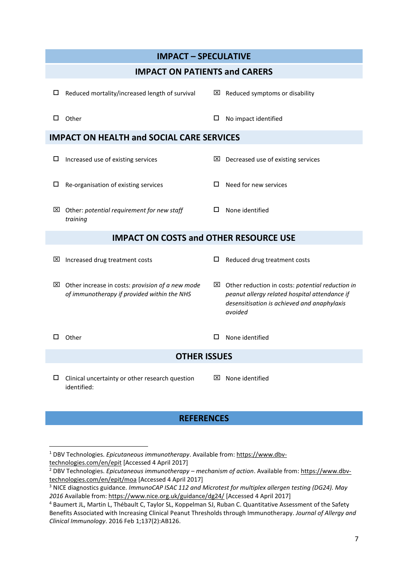| <b>IMPACT - SPECULATIVE</b>                      |                                                                                                             |        |                                                                                                                                                                         |  |  |  |
|--------------------------------------------------|-------------------------------------------------------------------------------------------------------------|--------|-------------------------------------------------------------------------------------------------------------------------------------------------------------------------|--|--|--|
| <b>IMPACT ON PATIENTS and CARERS</b>             |                                                                                                             |        |                                                                                                                                                                         |  |  |  |
| □                                                | Reduced mortality/increased length of survival                                                              |        | $\boxtimes$ Reduced symptoms or disability                                                                                                                              |  |  |  |
|                                                  | $\square$ Other                                                                                             | □      | No impact identified                                                                                                                                                    |  |  |  |
| <b>IMPACT ON HEALTH and SOCIAL CARE SERVICES</b> |                                                                                                             |        |                                                                                                                                                                         |  |  |  |
| $\Box$                                           | Increased use of existing services                                                                          | ×      | Decreased use of existing services                                                                                                                                      |  |  |  |
| $\Box$                                           | Re-organisation of existing services                                                                        |        | Need for new services                                                                                                                                                   |  |  |  |
|                                                  | $\boxtimes$ Other: potential requirement for new staff<br>training                                          |        | None identified                                                                                                                                                         |  |  |  |
| <b>IMPACT ON COSTS and OTHER RESOURCE USE</b>    |                                                                                                             |        |                                                                                                                                                                         |  |  |  |
| ⊠                                                | Increased drug treatment costs                                                                              | $\Box$ | Reduced drug treatment costs                                                                                                                                            |  |  |  |
|                                                  | $\boxtimes$ Other increase in costs: provision of a new mode<br>of immunotherapy if provided within the NHS |        | $\boxtimes$ Other reduction in costs: potential reduction in<br>peanut allergy related hospital attendance if<br>desensitisation is achieved and anaphylaxis<br>avoided |  |  |  |
|                                                  | Other                                                                                                       | 0      | None identified                                                                                                                                                         |  |  |  |
|                                                  | <b>OTHER ISSUES</b>                                                                                         |        |                                                                                                                                                                         |  |  |  |
| Ш.                                               | Clinical uncertainty or other research question<br>identified:                                              |        | $\boxtimes$ None identified                                                                                                                                             |  |  |  |

# **REFERENCES**

 $\overline{\phantom{a}}$ 

<sup>1</sup> DBV Technologies. *Epicutaneous immunotherapy*. Available from[: https://www.dbv](https://www.dbv-technologies.com/en/epit)[technologies.com/en/epit](https://www.dbv-technologies.com/en/epit) [Accessed 4 April 2017]

<sup>2</sup> DBV Technologies. *Epicutaneous immunotherapy – mechanism of action*. Available from: [https://www.dbv](https://www.dbv-technologies.com/en/epit/moa)[technologies.com/en/epit/moa](https://www.dbv-technologies.com/en/epit/moa) [Accessed 4 April 2017]

<sup>3</sup> NICE diagnostics guidance. *ImmunoCAP ISAC 112 and Microtest for multiplex allergen testing (DG24). May 2016* Available from[: https://www.nice.org.uk/guidance/dg24/](https://www.nice.org.uk/guidance/dg24/) [Accessed 4 April 2017]

<sup>4</sup> Baumert JL, Martin L, Thébault C, Taylor SL, Koppelman SJ, Ruban C. Quantitative Assessment of the Safety Benefits Associated with Increasing Clinical Peanut Thresholds through Immunotherapy. *Journal of Allergy and Clinical Immunology*. 2016 Feb 1;137(2):AB126.